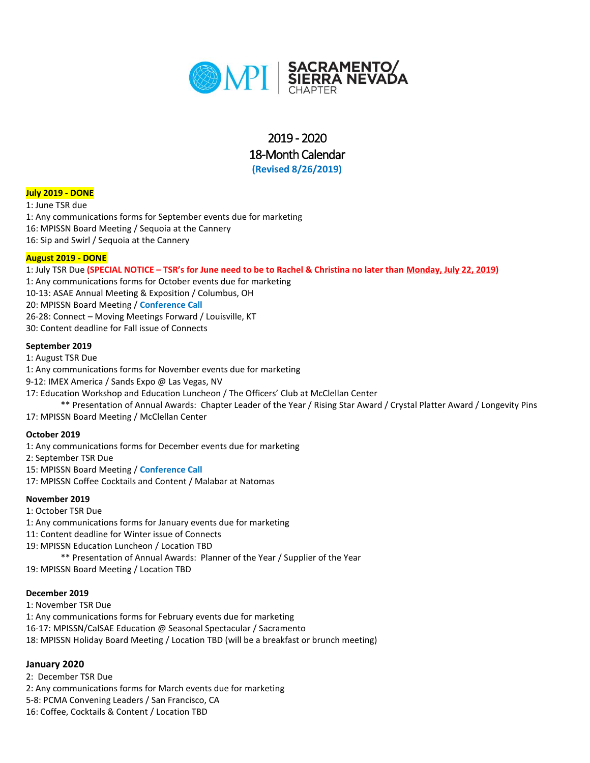

# 2019 - 2020 18-Month Calendar **(Revised 8/26/2019)**

**July 2019 - DONE**

1: June TSR due

1: Any communications forms for September events due for marketing 16: MPISSN Board Meeting / Sequoia at the Cannery 16: Sip and Swirl / Sequoia at the Cannery

#### **August 2019 - DONE**

1: July TSR Due **(SPECIAL NOTICE – TSR's for June need to be to Rachel & Christina no later than Monday, July 22, 2019)**

- 1: Any communications forms for October events due for marketing
- 10-13: ASAE Annual Meeting & Exposition / Columbus, OH

20: MPISSN Board Meeting / **Conference Call**

- 26-28: Connect Moving Meetings Forward / Louisville, KT
- 30: Content deadline for Fall issue of Connects

#### **September 2019**

1: August TSR Due

- 1: Any communications forms for November events due for marketing
- 9-12: IMEX America / Sands Expo @ Las Vegas, NV
- 17: Education Workshop and Education Luncheon / The Officers' Club at McClellan Center

\*\* Presentation of Annual Awards: Chapter Leader of the Year / Rising Star Award / Crystal Platter Award / Longevity Pins 17: MPISSN Board Meeting / McClellan Center

# **October 2019**

1: Any communications forms for December events due for marketing

2: September TSR Due

15: MPISSN Board Meeting / **Conference Call**

17: MPISSN Coffee Cocktails and Content / Malabar at Natomas

# **November 2019**

1: October TSR Due 1: Any communications forms for January events due for marketing 11: Content deadline for Winter issue of Connects 19: MPISSN Education Luncheon / Location TBD \*\* Presentation of Annual Awards: Planner of the Year / Supplier of the Year

19: MPISSN Board Meeting / Location TBD

# **December 2019**

1: November TSR Due 1: Any communications forms for February events due for marketing 16-17: MPISSN/CalSAE Education @ Seasonal Spectacular / Sacramento 18: MPISSN Holiday Board Meeting / Location TBD (will be a breakfast or brunch meeting)

# **January 2020**

2: December TSR Due 2: Any communications forms for March events due for marketing 5-8: PCMA Convening Leaders / San Francisco, CA 16: Coffee, Cocktails & Content / Location TBD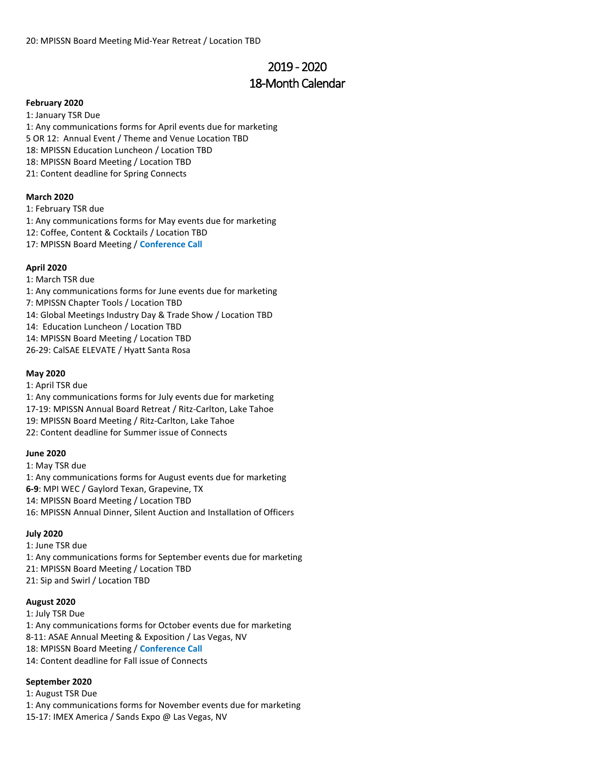# 2019 - 2020 18-Month Calendar

#### **February 2020**

1: January TSR Due 1: Any communications forms for April events due for marketing 5 OR 12: Annual Event / Theme and Venue Location TBD 18: MPISSN Education Luncheon / Location TBD 18: MPISSN Board Meeting / Location TBD 21: Content deadline for Spring Connects

# **March 2020**

1: February TSR due 1: Any communications forms for May events due for marketing 12: Coffee, Content & Cocktails / Location TBD 17: MPISSN Board Meeting / **Conference Call**

#### **April 2020**

1: March TSR due

1: Any communications forms for June events due for marketing

7: MPISSN Chapter Tools / Location TBD

14: Global Meetings Industry Day & Trade Show / Location TBD

14: Education Luncheon / Location TBD

14: MPISSN Board Meeting / Location TBD

26-29: CalSAE ELEVATE / Hyatt Santa Rosa

#### **May 2020**

1: April TSR due 1: Any communications forms for July events due for marketing 17-19: MPISSN Annual Board Retreat / Ritz-Carlton, Lake Tahoe 19: MPISSN Board Meeting / Ritz-Carlton, Lake Tahoe 22: Content deadline for Summer issue of Connects

#### **June 2020**

1: May TSR due 1: Any communications forms for August events due for marketing **6-9**: MPI WEC / Gaylord Texan, Grapevine, TX 14: MPISSN Board Meeting / Location TBD 16: MPISSN Annual Dinner, Silent Auction and Installation of Officers

#### **July 2020**

1: June TSR due 1: Any communications forms for September events due for marketing 21: MPISSN Board Meeting / Location TBD 21: Sip and Swirl / Location TBD

#### **August 2020**

1: July TSR Due 1: Any communications forms for October events due for marketing 8-11: ASAE Annual Meeting & Exposition / Las Vegas, NV 18: MPISSN Board Meeting / **Conference Call** 14: Content deadline for Fall issue of Connects

#### **September 2020**

1: August TSR Due 1: Any communications forms for November events due for marketing 15-17: IMEX America / Sands Expo @ Las Vegas, NV